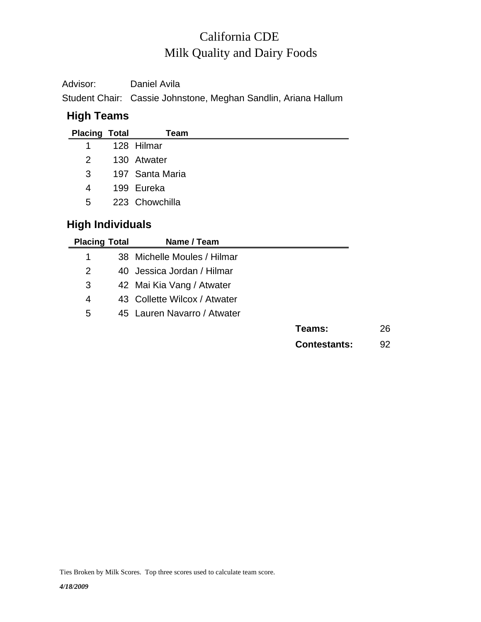# Milk Quality and Dairy Foods California CDE

| Advisor: | Daniel Avila                                                   |
|----------|----------------------------------------------------------------|
|          | Student Chair: Cassie Johnstone, Meghan Sandlin, Ariana Hallum |

## **High Teams**

| <b>Placing Total</b> | Team              |
|----------------------|-------------------|
| 1                    | 128 Hilmar        |
|                      | 2 130 Atwater     |
|                      | 3 197 Santa Maria |
| 4                    | 199 Eureka        |
| 5                    | 223 Chowchilla    |
|                      |                   |

### **High Individuals**

| <b>Placing Total</b> | Name / Team                  |              |
|----------------------|------------------------------|--------------|
| 1                    | 38 Michelle Moules / Hilmar  |              |
| 2                    | 40 Jessica Jordan / Hilmar   |              |
| 3                    | 42 Mai Kia Vang / Atwater    |              |
| 4                    | 43 Collette Wilcox / Atwater |              |
| 5                    | 45 Lauren Navarro / Atwater  |              |
|                      |                              | Teams:       |
|                      |                              | Contestants: |

**Teams:** 26 **Contestants:** 92

Ties Broken by Milk Scores. Top three scores used to calculate team score.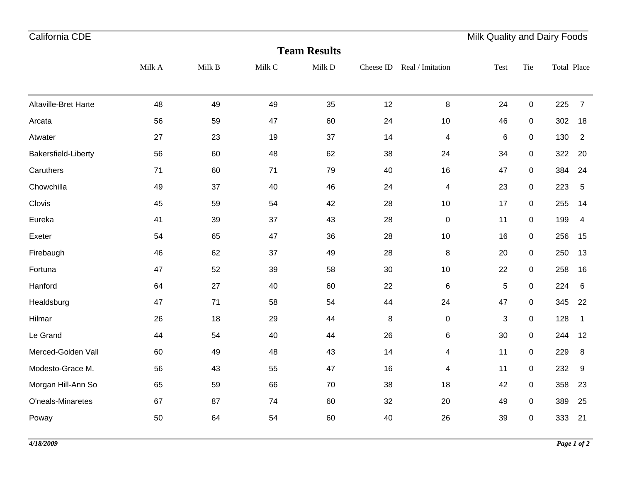| California CDE       |        |        |        |                     |           |                         | Milk Quality and Dairy Foods |             |             |                |
|----------------------|--------|--------|--------|---------------------|-----------|-------------------------|------------------------------|-------------|-------------|----------------|
|                      |        |        |        | <b>Team Results</b> |           |                         |                              |             |             |                |
|                      | Milk A | Milk B | Milk C | Milk D              | Cheese ID | Real / Imitation        | Test                         | Tie         | Total Place |                |
| Altaville-Bret Harte | 48     | 49     | 49     | 35                  | 12        | 8                       | 24                           | $\pmb{0}$   | 225         | $\overline{7}$ |
| Arcata               | 56     | 59     | 47     | 60                  | 24        | 10                      | 46                           | $\pmb{0}$   | 302         | 18             |
| Atwater              | 27     | 23     | 19     | 37                  | 14        | 4                       | 6                            | $\pmb{0}$   | 130         | $\overline{2}$ |
| Bakersfield-Liberty  | 56     | 60     | 48     | 62                  | 38        | 24                      | 34                           | $\pmb{0}$   | 322         | 20             |
| Caruthers            | 71     | 60     | 71     | 79                  | 40        | 16                      | 47                           | $\pmb{0}$   | 384         | 24             |
| Chowchilla           | 49     | 37     | 40     | 46                  | 24        | 4                       | 23                           | $\pmb{0}$   | 223         | 5              |
| Clovis               | 45     | 59     | 54     | 42                  | 28        | 10                      | 17                           | $\pmb{0}$   | 255         | 14             |
| Eureka               | 41     | 39     | 37     | 43                  | 28        | $\pmb{0}$               | 11                           | $\pmb{0}$   | 199         | 4              |
| Exeter               | 54     | 65     | 47     | 36                  | 28        | 10                      | 16                           | $\pmb{0}$   | 256         | 15             |
| Firebaugh            | 46     | 62     | 37     | 49                  | 28        | 8                       | 20                           | $\pmb{0}$   | 250         | 13             |
| Fortuna              | 47     | 52     | 39     | 58                  | 30        | 10                      | 22                           | $\pmb{0}$   | 258         | 16             |
| Hanford              | 64     | 27     | 40     | 60                  | 22        | $\,6$                   | $\sqrt{5}$                   | $\pmb{0}$   | 224         | $\,6$          |
| Healdsburg           | 47     | 71     | 58     | 54                  | 44        | 24                      | 47                           | $\pmb{0}$   | 345         | 22             |
| Hilmar               | 26     | 18     | 29     | 44                  | 8         | $\pmb{0}$               | 3                            | $\pmb{0}$   | 128         | $\mathbf{1}$   |
| Le Grand             | 44     | 54     | 40     | 44                  | 26        | $\,6$                   | 30                           | $\pmb{0}$   | 244         | 12             |
| Merced-Golden Vall   | 60     | 49     | 48     | 43                  | 14        | $\overline{\mathbf{4}}$ | 11                           | $\pmb{0}$   | 229         | 8              |
| Modesto-Grace M.     | 56     | 43     | 55     | 47                  | 16        | 4                       | 11                           | $\pmb{0}$   | 232         | 9              |
| Morgan Hill-Ann So   | 65     | 59     | 66     | 70                  | 38        | 18                      | 42                           | $\pmb{0}$   | 358         | 23             |
| O'neals-Minaretes    | 67     | 87     | 74     | 60                  | 32        | 20                      | 49                           | $\mathbf 0$ | 389         | 25             |
| Poway                | 50     | 64     | 54     | 60                  | 40        | 26                      | 39                           | $\mathbf 0$ | 333         | 21             |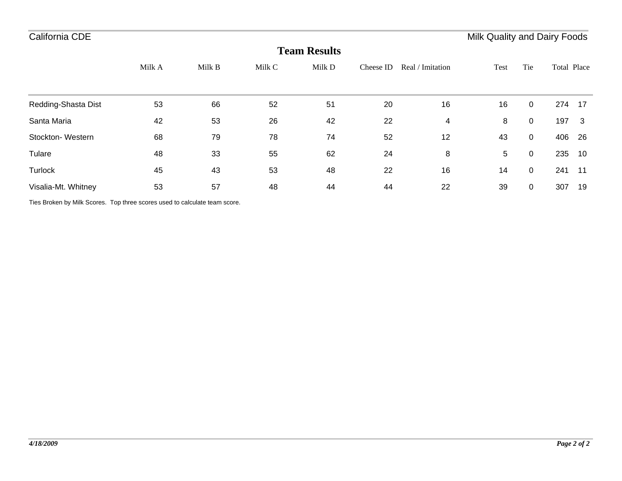| <b>Team Results</b> |        |        |        |        |           |                  |      |                |             |       |  |  |
|---------------------|--------|--------|--------|--------|-----------|------------------|------|----------------|-------------|-------|--|--|
|                     | Milk A | Milk B | Milk C | Milk D | Cheese ID | Real / Imitation | Test | Tie            | Total Place |       |  |  |
|                     |        |        |        |        |           |                  |      |                |             |       |  |  |
| Redding-Shasta Dist | 53     | 66     | 52     | 51     | 20        | 16               | 16   | $\overline{0}$ | 274         | - 17  |  |  |
| Santa Maria         | 42     | 53     | 26     | 42     | 22        | 4                | 8    | $\overline{0}$ | 197         | - 3   |  |  |
| Stockton-Western    | 68     | 79     | 78     | 74     | 52        | 12               | 43   | $\overline{0}$ | 406         | 26    |  |  |
| Tulare              | 48     | 33     | 55     | 62     | 24        | 8                | 5    | $\mathbf 0$    | 235         | 10    |  |  |
| <b>Turlock</b>      | 45     | 43     | 53     | 48     | 22        | 16               | 14   | $\overline{0}$ | 241         | $-11$ |  |  |
| Visalia-Mt. Whitney | 53     | 57     | 48     | 44     | 44        | 22               | 39   | $\overline{0}$ | 307         | 19    |  |  |

Ties Broken by Milk Scores. Top three scores used to calculate team score.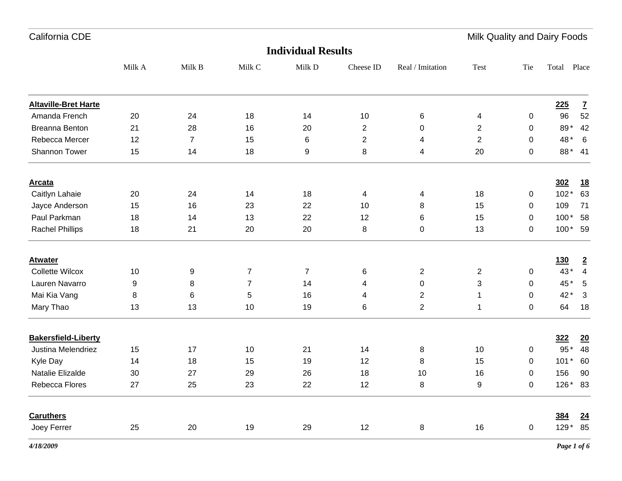| California CDE              |        |        |                |                           |                 |                  | Milk Quality and Dairy Foods |             |            |                         |
|-----------------------------|--------|--------|----------------|---------------------------|-----------------|------------------|------------------------------|-------------|------------|-------------------------|
|                             |        |        |                | <b>Individual Results</b> |                 |                  |                              |             |            |                         |
|                             | Milk A | Milk B | Milk C         | Milk D                    | Cheese ID       | Real / Imitation | Test                         | Tie         | Total      | Place                   |
| <b>Altaville-Bret Harte</b> |        |        |                |                           |                 |                  |                              |             | 225        | $\mathbf{Z}$            |
| Amanda French               | 20     | 24     | 18             | 14                        | 10              | 6                | 4                            | 0           | 96         | 52                      |
| <b>Breanna Benton</b>       | 21     | 28     | 16             | 20                        | $\overline{2}$  | $\mathbf 0$      | 2                            | $\mathbf 0$ | 89*        | 42                      |
| Rebecca Mercer              | 12     | 7      | 15             | 6                         | 2               | 4                | 2                            | 0           | 48*        | $6\overline{6}$         |
| <b>Shannon Tower</b>        | 15     | 14     | 18             | 9                         | 8               | 4                | 20                           | 0           |            | 88* 41                  |
| <u>Arcata</u>               |        |        |                |                           |                 |                  |                              |             | 302        | <u>18</u>               |
| Caitlyn Lahaie              | 20     | 24     | 14             | 18                        | 4               | 4                | 18                           | 0           | $102*$     | 63                      |
| Jayce Anderson              | 15     | 16     | 23             | 22                        | 10              | 8                | 15                           | 0           | 109        | 71                      |
| Paul Parkman                | 18     | 14     | 13             | 22                        | 12              | 6                | 15                           | 0           | $100*$     | 58                      |
| <b>Rachel Phillips</b>      | 18     | 21     | 20             | 20                        | 8               | 0                | 13                           | 0           | 100* 59    |                         |
| <b>Atwater</b>              |        |        |                |                           |                 |                  |                              |             | <u>130</u> | $\overline{2}$          |
| <b>Collette Wilcox</b>      | 10     | 9      | 7              | $\overline{7}$            | $6\phantom{1}6$ | $\overline{2}$   | 2                            | 0           | 43*        | 4                       |
| Lauren Navarro              | 9      | 8      | $\overline{7}$ | 14                        | 4               | $\pmb{0}$        | 3                            | $\mathbf 0$ | 45*        | $-5$                    |
| Mai Kia Vang                | 8      | 6      | 5              | 16                        | 4               | $\overline{c}$   | 1                            | 0           | 42*        | $\overline{\mathbf{3}}$ |
| Mary Thao                   | 13     | 13     | 10             | 19                        | 6               | $\overline{2}$   | 1                            | 0           | 64         | 18                      |
| <b>Bakersfield-Liberty</b>  |        |        |                |                           |                 |                  |                              |             | <u>322</u> | $\underline{20}$        |
| Justina Melendriez          | 15     | 17     | 10             | 21                        | 14              | 8                | 10                           | 0           | 95 *       | 48                      |

Kyle Day 14 18 15 19 12 8 15 0 101 \* 60 Natalie Elizalde 30 27 29 26 18 10 16 0 156 90

Joey Ferrer 25 20 19 29 12 8 16 0 129 \* 85

**384 24**

Rebecca Flores 27 25 23 22 12 8 9 0

**Caruthers**

156

 $126 * 83$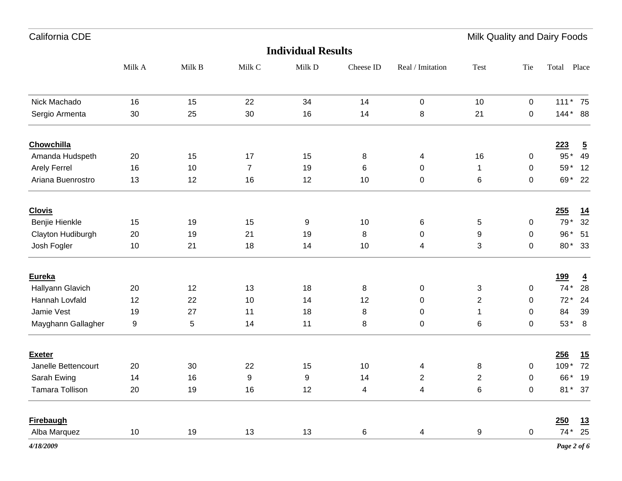| California CDE         |                  |        |                  |                           |           |                  | Milk Quality and Dairy Foods |              |            |                |
|------------------------|------------------|--------|------------------|---------------------------|-----------|------------------|------------------------------|--------------|------------|----------------|
|                        |                  |        |                  | <b>Individual Results</b> |           |                  |                              |              |            |                |
|                        | Milk A           | Milk B | Milk C           | Milk D                    | Cheese ID | Real / Imitation | Test                         | Tie          | Total      | Place          |
| Nick Machado           | 16               | 15     | 22               | 34                        | 14        | $\pmb{0}$        | 10                           | $\mathbf 0$  | 111* 75    |                |
| Sergio Armenta         | 30               | 25     | 30               | 16                        | 14        | 8                | 21                           | $\mathbf 0$  | 144* 88    |                |
| Chowchilla             |                  |        |                  |                           |           |                  |                              |              | 223        | $\overline{5}$ |
| Amanda Hudspeth        | 20               | 15     | 17               | 15                        | 8         | 4                | 16                           | $\mathbf 0$  | $95*$      | 49             |
| <b>Arely Ferrel</b>    | 16               | 10     | $\overline{7}$   | 19                        | $\,6$     | 0                | $\mathbf{1}$                 | $\mathbf 0$  | 59*        | 12             |
| Ariana Buenrostro      | 13               | 12     | 16               | 12                        | 10        | $\pmb{0}$        | 6                            | $\mathbf 0$  |            | 69* 22         |
| <b>Clovis</b>          |                  |        |                  |                           |           |                  |                              |              | 255        | 14             |
| Benjie Hienkle         | 15               | 19     | 15               | 9                         | 10        | 6                | $\,$ 5 $\,$                  | $\mathbf 0$  | 79*        | 32             |
| Clayton Hudiburgh      | 20               | 19     | 21               | 19                        | 8         | 0                | 9                            | 0            | 96*        | 51             |
| Josh Fogler            | 10               | 21     | 18               | 14                        | 10        | 4                | 3                            | 0            |            | 80* 33         |
| Eureka                 |                  |        |                  |                           |           |                  |                              |              | <u>199</u> | $\overline{4}$ |
| Hallyann Glavich       | 20               | 12     | 13               | 18                        | 8         | 0                | 3                            | $\mathbf 0$  | $74*$      | 28             |
| Hannah Lovfald         | 12               | 22     | 10               | 14                        | 12        | 0                | $\overline{c}$               | 0            | $72*$      | 24             |
| Jamie Vest             | 19               | 27     | 11               | 18                        | 8         | 0                | $\mathbf{1}$                 | $\mathbf 0$  | 84         | 39             |
| Mayghann Gallagher     | $\boldsymbol{9}$ | 5      | 14               | 11                        | 8         | $\pmb{0}$        | 6                            | 0            | $53*$      | 8              |
| <b>Exeter</b>          |                  |        |                  |                           |           |                  |                              |              | 256        | 15             |
| Janelle Bettencourt    | 20               | 30     | 22               | 15                        | 10        | 4                | 8                            | $\mathbf 0$  | 109*       | 72             |
| Sarah Ewing            | 14               | 16     | $\boldsymbol{9}$ | 9                         | 14        | $\overline{2}$   | $\overline{2}$               | $\mathbf 0$  | 66*        | 19             |
| <b>Tamara Tollison</b> | 20               | 19     | 16               | 12                        | 4         | 4                | 6                            | $\mathbf{0}$ |            | 81* 37         |

**Firebaugh 250 13** Alba Marquez 10 19 13 13 6 4 9 0 74\* 25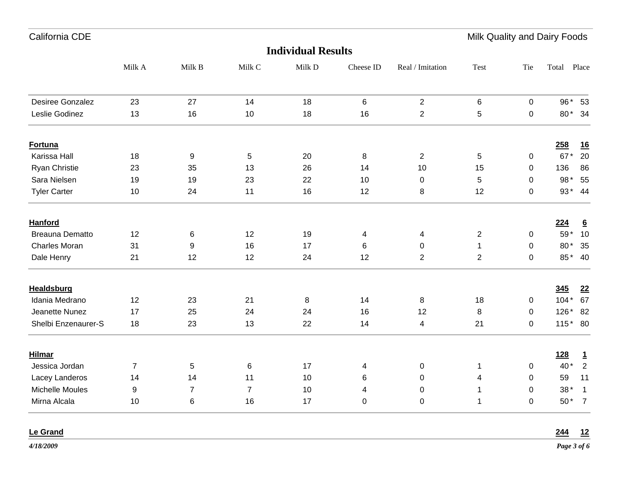| California CDE         |                |                |                |                           |                |                  | Milk Quality and Dairy Foods |             |         |                 |
|------------------------|----------------|----------------|----------------|---------------------------|----------------|------------------|------------------------------|-------------|---------|-----------------|
|                        |                |                |                | <b>Individual Results</b> |                |                  |                              |             |         |                 |
|                        | Milk A         | Milk B         | Milk C         | Milk D                    | Cheese ID      | Real / Imitation | <b>Test</b>                  | Tie         | Total   | Place           |
| Desiree Gonzalez       | 23             | 27             | 14             | 18                        | 6              | $\sqrt{2}$       | $\,6\,$                      | $\mathbf 0$ | 96* 53  |                 |
| Leslie Godinez         | 13             | 16             | 10             | 18                        | 16             | $\overline{2}$   | 5                            | $\mathbf 0$ | 80* 34  |                 |
| Fortuna                |                |                |                |                           |                |                  |                              |             | 258     | <u>16</u>       |
| Karissa Hall           | 18             | 9              | 5              | 20                        | 8              | $\overline{2}$   | 5                            | $\mathbf 0$ | $67*$   | 20              |
| Ryan Christie          | 23             | 35             | 13             | 26                        | 14             | 10               | 15                           | 0           | 136     | 86              |
| Sara Nielsen           | 19             | 19             | 23             | 22                        | 10             | $\mathbf 0$      | 5                            | 0           | 98*     | 55              |
| <b>Tyler Carter</b>    | 10             | 24             | 11             | 16                        | 12             | 8                | 12                           | 0           | 93* 44  |                 |
| <b>Hanford</b>         |                |                |                |                           |                |                  |                              |             | 224     | $6\overline{6}$ |
| <b>Breauna Dematto</b> | 12             | 6              | 12             | 19                        | $\overline{4}$ | 4                | $\overline{2}$               | $\pmb{0}$   | 59* 10  |                 |
| <b>Charles Moran</b>   | 31             | 9              | 16             | 17                        | 6              | 0                | $\mathbf{1}$                 | $\mathbf 0$ | 80*     | 35              |
| Dale Henry             | 21             | 12             | 12             | 24                        | 12             | $\overline{2}$   | $\overline{2}$               | $\Omega$    | 85* 40  |                 |
| <b>Healdsburg</b>      |                |                |                |                           |                |                  |                              |             | 345     | 22              |
| Idania Medrano         | 12             | 23             | 21             | 8                         | 14             | 8                | 18                           | 0           | $104*$  | 67              |
| Jeanette Nunez         | 17             | 25             | 24             | 24                        | 16             | 12               | $\bf 8$                      | 0           | $126*$  | 82              |
| Shelbi Enzenaurer-S    | 18             | 23             | 13             | 22                        | 14             | $\overline{4}$   | 21                           | 0           | 115* 80 |                 |
| <b>Hilmar</b>          |                |                |                |                           |                |                  |                              |             | 128     | $\mathbf{1}$    |
| Jessica Jordan         | $\overline{7}$ | 5              | 6              | 17                        | 4              | $\mathbf 0$      | $\mathbf{1}$                 | 0           | $40*$   | $\overline{2}$  |
| Lacey Landeros         | 14             | 14             | 11             | 10                        | 6              | $\mathbf 0$      | 4                            | 0           | 59      | 11              |
| Michelle Moules        | 9              | $\overline{7}$ | $\overline{7}$ | 10                        | $\overline{4}$ | $\mathbf 0$      | $\mathbf{1}$                 | $\Omega$    | $38*$   | $\mathbf{1}$    |

Mirna Alcala 10 6 16 17 0 0 1 0 50\* 7

1 0  $50*$  7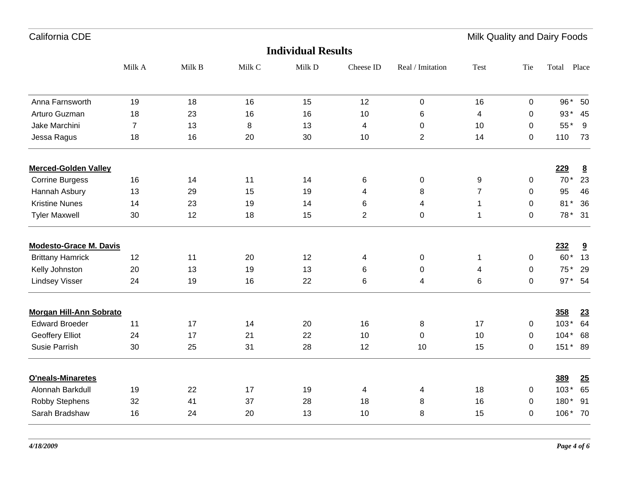Milk Quality and Dairy Foods

| <b>Individual Results</b>      |                |        |        |        |                         |                  |                |             |          |                         |  |
|--------------------------------|----------------|--------|--------|--------|-------------------------|------------------|----------------|-------------|----------|-------------------------|--|
|                                | Milk A         | Milk B | Milk C | Milk D | Cheese ID               | Real / Imitation | <b>Test</b>    | Tie         | Total    | Place                   |  |
| Anna Farnsworth                | 19             | 18     | 16     | 15     | 12                      | $\pmb{0}$        | 16             | $\mathbf 0$ |          | 96* 50                  |  |
| Arturo Guzman                  | 18             | 23     | 16     | 16     | 10                      | 6                | 4              | 0           | $93*$    | - 45                    |  |
| Jake Marchini                  | $\overline{7}$ | 13     | 8      | 13     | 4                       | $\mathbf 0$      | 10             | $\Omega$    | 55*      | 9                       |  |
| Jessa Ragus                    | 18             | 16     | 20     | 30     | 10                      | $\overline{2}$   | 14             | $\mathbf 0$ | 110      | 73                      |  |
| <b>Merced-Golden Valley</b>    |                |        |        |        |                         |                  |                |             | 229      | $\underline{8}$         |  |
| <b>Corrine Burgess</b>         | 16             | 14     | 11     | 14     | 6                       | $\pmb{0}$        | 9              | 0           | $70*$    | 23                      |  |
| Hannah Asbury                  | 13             | 29     | 15     | 19     | $\overline{\mathbf{4}}$ | 8                | $\overline{7}$ | 0           | 95       | 46                      |  |
| <b>Kristine Nunes</b>          | 14             | 23     | 19     | 14     | 6                       | 4                | 1              | $\mathbf 0$ | $81*$    | 36                      |  |
| <b>Tyler Maxwell</b>           | 30             | 12     | 18     | 15     | $\overline{2}$          | $\pmb{0}$        | 1              | $\Omega$    |          | 78 * 31                 |  |
| <b>Modesto-Grace M. Davis</b>  |                |        |        |        |                         |                  |                |             | 232      | $\overline{\mathbf{a}}$ |  |
| <b>Brittany Hamrick</b>        | 12             | 11     | 20     | 12     | $\overline{4}$          | $\pmb{0}$        | 1              | 0           | 60*      | 13                      |  |
| Kelly Johnston                 | 20             | 13     | 19     | 13     | 6                       | $\pmb{0}$        | 4              | $\mathbf 0$ | 75*      | 29                      |  |
| <b>Lindsey Visser</b>          | 24             | 19     | 16     | 22     | 6                       | 4                | 6              | 0           |          | 97* 54                  |  |
| <b>Morgan Hill-Ann Sobrato</b> |                |        |        |        |                         |                  |                |             | 358      | 23                      |  |
| <b>Edward Broeder</b>          | 11             | 17     | 14     | 20     | 16                      | 8                | 17             | 0           | $103*$   | 64                      |  |
| <b>Geoffery Elliot</b>         | 24             | 17     | 21     | 22     | 10                      | $\pmb{0}$        | 10             | 0           | $104*68$ |                         |  |
| Susie Parrish                  | 30             | 25     | 31     | 28     | 12                      | 10               | 15             | 0           | 151* 89  |                         |  |
| O'neals-Minaretes              |                |        |        |        |                         |                  |                |             | 389      | 25                      |  |
| Alonnah Barkdull               | 19             | 22     | 17     | 19     | 4                       | 4                | 18             | 0           | $103*$   | 65                      |  |
| Robby Stephens                 | 32             | 41     | 37     | 28     | 18                      | 8                | 16             | 0           | 180*     | 91                      |  |
| Sarah Bradshaw                 | 16             | 24     | 20     | 13     | 10                      | 8                | 15             | 0           | 106* 70  |                         |  |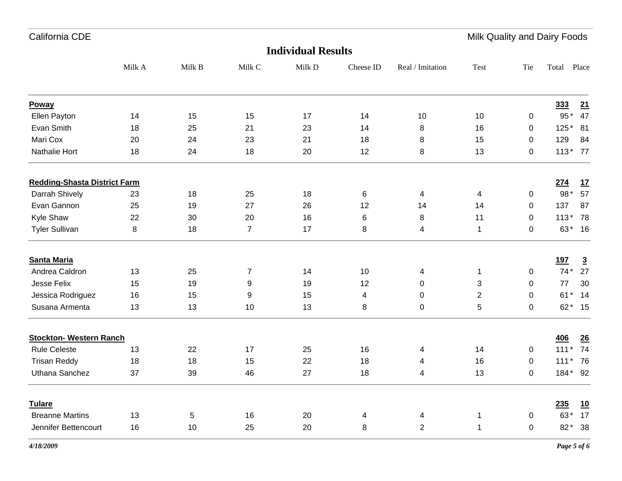Milk Quality and Dairy Foods

| Milk A<br>Milk D<br>Milk B<br>Milk C<br>Tie<br>Cheese ID<br>Real / Imitation<br><b>Test</b><br>Poway<br>Ellen Payton<br>15<br>10<br>10<br>14<br>15<br>17<br>14<br>0<br>Evan Smith<br>25<br>16<br>18<br>21<br>23<br>14<br>8<br>0<br>Mari Cox<br>24<br>23<br>15<br>20<br>21<br>18<br>8<br>0<br>Nathalie Hort<br>24<br>18<br>12<br>8<br>13<br>18<br>20<br>0<br><b>Redding-Shasta District Farm</b><br>Darrah Shively<br>18<br>23<br>25<br>18<br>6<br>$\overline{\mathcal{A}}$<br>4<br>$\mathbf 0$<br>Evan Gannon<br>25<br>19<br>27<br>14<br>26<br>12<br>14<br>0<br>Kyle Shaw<br>22<br>30<br>20<br>16<br>11<br>6<br>8<br>0<br>$\overline{7}$<br><b>Tyler Sullivan</b><br>8<br>18<br>17<br>$\mathbf{1}$<br>8<br>4<br>0<br><b>Santa Maria</b><br>Andrea Caldron<br>13<br>25<br>$\overline{7}$<br>14<br>10<br>$\mathbf 1$<br>$\mathbf 0$<br>4<br>Jesse Felix<br>15<br>9<br>19<br>3<br>19<br>12<br>0<br>0<br>Jessica Rodriguez<br>16<br>15<br>9<br>15<br>$\overline{2}$<br>4<br>0<br>0<br>$\sqrt{5}$<br>Susana Armenta<br>13<br>13<br>13<br>8<br>$\mathbf 0$<br>10<br>0<br><b>Stockton- Western Ranch</b><br><b>Rule Celeste</b><br>13<br>22<br>17<br>14<br>25<br>16<br>4<br>0<br><b>Trisan Reddy</b><br>18<br>18<br>15<br>22<br>16<br>18<br>0<br>4<br>Uthana Sanchez<br>37<br>46<br>27<br>4<br>13<br>39<br>18<br>0 | <b>Individual Results</b> |  |  |  |  |  |  |  |  |            |                |  |
|-------------------------------------------------------------------------------------------------------------------------------------------------------------------------------------------------------------------------------------------------------------------------------------------------------------------------------------------------------------------------------------------------------------------------------------------------------------------------------------------------------------------------------------------------------------------------------------------------------------------------------------------------------------------------------------------------------------------------------------------------------------------------------------------------------------------------------------------------------------------------------------------------------------------------------------------------------------------------------------------------------------------------------------------------------------------------------------------------------------------------------------------------------------------------------------------------------------------------------------------------------------------------------------------------------------|---------------------------|--|--|--|--|--|--|--|--|------------|----------------|--|
|                                                                                                                                                                                                                                                                                                                                                                                                                                                                                                                                                                                                                                                                                                                                                                                                                                                                                                                                                                                                                                                                                                                                                                                                                                                                                                             |                           |  |  |  |  |  |  |  |  | Total      | Place          |  |
|                                                                                                                                                                                                                                                                                                                                                                                                                                                                                                                                                                                                                                                                                                                                                                                                                                                                                                                                                                                                                                                                                                                                                                                                                                                                                                             |                           |  |  |  |  |  |  |  |  | 333        | 21             |  |
|                                                                                                                                                                                                                                                                                                                                                                                                                                                                                                                                                                                                                                                                                                                                                                                                                                                                                                                                                                                                                                                                                                                                                                                                                                                                                                             |                           |  |  |  |  |  |  |  |  |            | 95* 47         |  |
|                                                                                                                                                                                                                                                                                                                                                                                                                                                                                                                                                                                                                                                                                                                                                                                                                                                                                                                                                                                                                                                                                                                                                                                                                                                                                                             |                           |  |  |  |  |  |  |  |  | 125* 81    |                |  |
|                                                                                                                                                                                                                                                                                                                                                                                                                                                                                                                                                                                                                                                                                                                                                                                                                                                                                                                                                                                                                                                                                                                                                                                                                                                                                                             |                           |  |  |  |  |  |  |  |  | 129        | 84             |  |
|                                                                                                                                                                                                                                                                                                                                                                                                                                                                                                                                                                                                                                                                                                                                                                                                                                                                                                                                                                                                                                                                                                                                                                                                                                                                                                             |                           |  |  |  |  |  |  |  |  | 113* 77    |                |  |
|                                                                                                                                                                                                                                                                                                                                                                                                                                                                                                                                                                                                                                                                                                                                                                                                                                                                                                                                                                                                                                                                                                                                                                                                                                                                                                             |                           |  |  |  |  |  |  |  |  | <u>274</u> | <u>17</u>      |  |
|                                                                                                                                                                                                                                                                                                                                                                                                                                                                                                                                                                                                                                                                                                                                                                                                                                                                                                                                                                                                                                                                                                                                                                                                                                                                                                             |                           |  |  |  |  |  |  |  |  | 98*        | 57             |  |
|                                                                                                                                                                                                                                                                                                                                                                                                                                                                                                                                                                                                                                                                                                                                                                                                                                                                                                                                                                                                                                                                                                                                                                                                                                                                                                             |                           |  |  |  |  |  |  |  |  | 137        | 87             |  |
|                                                                                                                                                                                                                                                                                                                                                                                                                                                                                                                                                                                                                                                                                                                                                                                                                                                                                                                                                                                                                                                                                                                                                                                                                                                                                                             |                           |  |  |  |  |  |  |  |  | 113* 78    |                |  |
|                                                                                                                                                                                                                                                                                                                                                                                                                                                                                                                                                                                                                                                                                                                                                                                                                                                                                                                                                                                                                                                                                                                                                                                                                                                                                                             |                           |  |  |  |  |  |  |  |  |            | 63* 16         |  |
|                                                                                                                                                                                                                                                                                                                                                                                                                                                                                                                                                                                                                                                                                                                                                                                                                                                                                                                                                                                                                                                                                                                                                                                                                                                                                                             |                           |  |  |  |  |  |  |  |  | <u>197</u> | $\overline{3}$ |  |
|                                                                                                                                                                                                                                                                                                                                                                                                                                                                                                                                                                                                                                                                                                                                                                                                                                                                                                                                                                                                                                                                                                                                                                                                                                                                                                             |                           |  |  |  |  |  |  |  |  | $74*$      | 27             |  |
|                                                                                                                                                                                                                                                                                                                                                                                                                                                                                                                                                                                                                                                                                                                                                                                                                                                                                                                                                                                                                                                                                                                                                                                                                                                                                                             |                           |  |  |  |  |  |  |  |  | 77         | 30             |  |
|                                                                                                                                                                                                                                                                                                                                                                                                                                                                                                                                                                                                                                                                                                                                                                                                                                                                                                                                                                                                                                                                                                                                                                                                                                                                                                             |                           |  |  |  |  |  |  |  |  | $61*$      | 14             |  |
|                                                                                                                                                                                                                                                                                                                                                                                                                                                                                                                                                                                                                                                                                                                                                                                                                                                                                                                                                                                                                                                                                                                                                                                                                                                                                                             |                           |  |  |  |  |  |  |  |  |            | 62* 15         |  |
|                                                                                                                                                                                                                                                                                                                                                                                                                                                                                                                                                                                                                                                                                                                                                                                                                                                                                                                                                                                                                                                                                                                                                                                                                                                                                                             |                           |  |  |  |  |  |  |  |  | 406        | 26             |  |
|                                                                                                                                                                                                                                                                                                                                                                                                                                                                                                                                                                                                                                                                                                                                                                                                                                                                                                                                                                                                                                                                                                                                                                                                                                                                                                             |                           |  |  |  |  |  |  |  |  | $111*$     | 74             |  |
|                                                                                                                                                                                                                                                                                                                                                                                                                                                                                                                                                                                                                                                                                                                                                                                                                                                                                                                                                                                                                                                                                                                                                                                                                                                                                                             |                           |  |  |  |  |  |  |  |  | 111* 76    |                |  |
|                                                                                                                                                                                                                                                                                                                                                                                                                                                                                                                                                                                                                                                                                                                                                                                                                                                                                                                                                                                                                                                                                                                                                                                                                                                                                                             |                           |  |  |  |  |  |  |  |  | 184* 92    |                |  |
| <b>Tulare</b>                                                                                                                                                                                                                                                                                                                                                                                                                                                                                                                                                                                                                                                                                                                                                                                                                                                                                                                                                                                                                                                                                                                                                                                                                                                                                               |                           |  |  |  |  |  |  |  |  | 235        | 10             |  |
| <b>Breanne Martins</b><br>16<br>13<br>5<br>20<br>$\mathbf{1}$<br>4<br>$\overline{\mathcal{A}}$<br>0                                                                                                                                                                                                                                                                                                                                                                                                                                                                                                                                                                                                                                                                                                                                                                                                                                                                                                                                                                                                                                                                                                                                                                                                         |                           |  |  |  |  |  |  |  |  | 63*        | 17             |  |
| $\overline{2}$<br>Jennifer Bettencourt<br>25<br>20<br>8<br>16<br>10<br>$\mathbf 1$<br>0                                                                                                                                                                                                                                                                                                                                                                                                                                                                                                                                                                                                                                                                                                                                                                                                                                                                                                                                                                                                                                                                                                                                                                                                                     |                           |  |  |  |  |  |  |  |  | $82*$      | 38             |  |